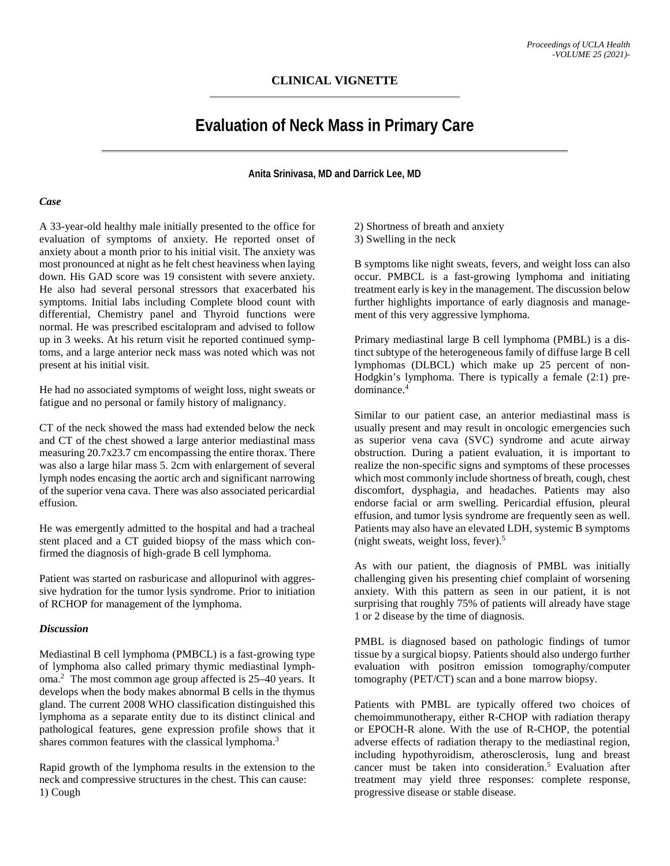## **CLINICAL VIGNETTE**

# **Evaluation of Neck Mass in Primary Care**

**Anita Srinivasa, MD and Darrick Lee, MD**

#### *Case*

A 33-year-old healthy male initially presented to the office for evaluation of symptoms of anxiety. He reported onset of anxiety about a month prior to his initial visit. The anxiety was most pronounced at night as he felt chest heaviness when laying down. His GAD score was 19 consistent with severe anxiety. He also had several personal stressors that exacerbated his symptoms. Initial labs including Complete blood count with differential, Chemistry panel and Thyroid functions were normal. He was prescribed escitalopram and advised to follow up in 3 weeks. At his return visit he reported continued symptoms, and a large anterior neck mass was noted which was not present at his initial visit.

He had no associated symptoms of weight loss, night sweats or fatigue and no personal or family history of malignancy.

CT of the neck showed the mass had extended below the neck and CT of the chest showed a large anterior mediastinal mass measuring 20.7x23.7 cm encompassing the entire thorax. There was also a large hilar mass 5. 2cm with enlargement of several lymph nodes encasing the aortic arch and significant narrowing of the superior vena cava. There was also associated pericardial effusion.

He was emergently admitted to the hospital and had a tracheal stent placed and a CT guided biopsy of the mass which confirmed the diagnosis of high-grade B cell lymphoma.

Patient was started on rasburicase and allopurinol with aggressive hydration for the tumor lysis syndrome. Prior to initiation of RCHOP for management of the lymphoma.

#### *Discussion*

Mediastinal B cell lymphoma (PMBCL) is a fast-growing type of lymphoma also called primary thymic mediastinal lymphoma.2 The most common age group affected is 25–40 years. It develops when the body makes abnormal B cells in the thymus gland. The current 2008 WHO classification distinguished this lymphoma as a separate entity due to its distinct clinical and pathological features, gene expression profile shows that it shares common features with the classical lymphoma.<sup>3</sup>

Rapid growth of the lymphoma results in the extension to the neck and compressive structures in the chest. This can cause: 1) Cough

- 2) Shortness of breath and anxiety
- 3) Swelling in the neck

B symptoms like night sweats, fevers, and weight loss can also occur. PMBCL is a fast-growing lymphoma and initiating treatment early is key in the management. The discussion below further highlights importance of early diagnosis and management of this very aggressive lymphoma.

Primary mediastinal large B cell lymphoma (PMBL) is a distinct subtype of the heterogeneous family of diffuse large B cell lymphomas (DLBCL) which make up 25 percent of non-Hodgkin's lymphoma. There is typically a female (2:1) predominance.4

Similar to our patient case, an anterior mediastinal mass is usually present and may result in oncologic emergencies such as superior vena cava (SVC) syndrome and acute airway obstruction. During a patient evaluation, it is important to realize the non-specific signs and symptoms of these processes which most commonly include shortness of breath, cough, chest discomfort, dysphagia, and headaches. Patients may also endorse facial or arm swelling. Pericardial effusion, pleural effusion, and tumor lysis syndrome are frequently seen as well. Patients may also have an elevated LDH, systemic B symptoms (night sweats, weight loss, fever).5

As with our patient, the diagnosis of PMBL was initially challenging given his presenting chief complaint of worsening anxiety. With this pattern as seen in our patient, it is not surprising that roughly 75% of patients will already have stage 1 or 2 disease by the time of diagnosis.

PMBL is diagnosed based on pathologic findings of tumor tissue by a surgical biopsy. Patients should also undergo further evaluation with positron emission tomography/computer tomography (PET/CT) scan and a bone marrow biopsy.

Patients with PMBL are typically offered two choices of chemoimmunotherapy, either R-CHOP with radiation therapy or EPOCH-R alone. With the use of R-CHOP, the potential adverse effects of radiation therapy to the mediastinal region, including hypothyroidism, atherosclerosis, lung and breast cancer must be taken into consideration.<sup>5</sup> Evaluation after treatment may yield three responses: complete response, progressive disease or stable disease.